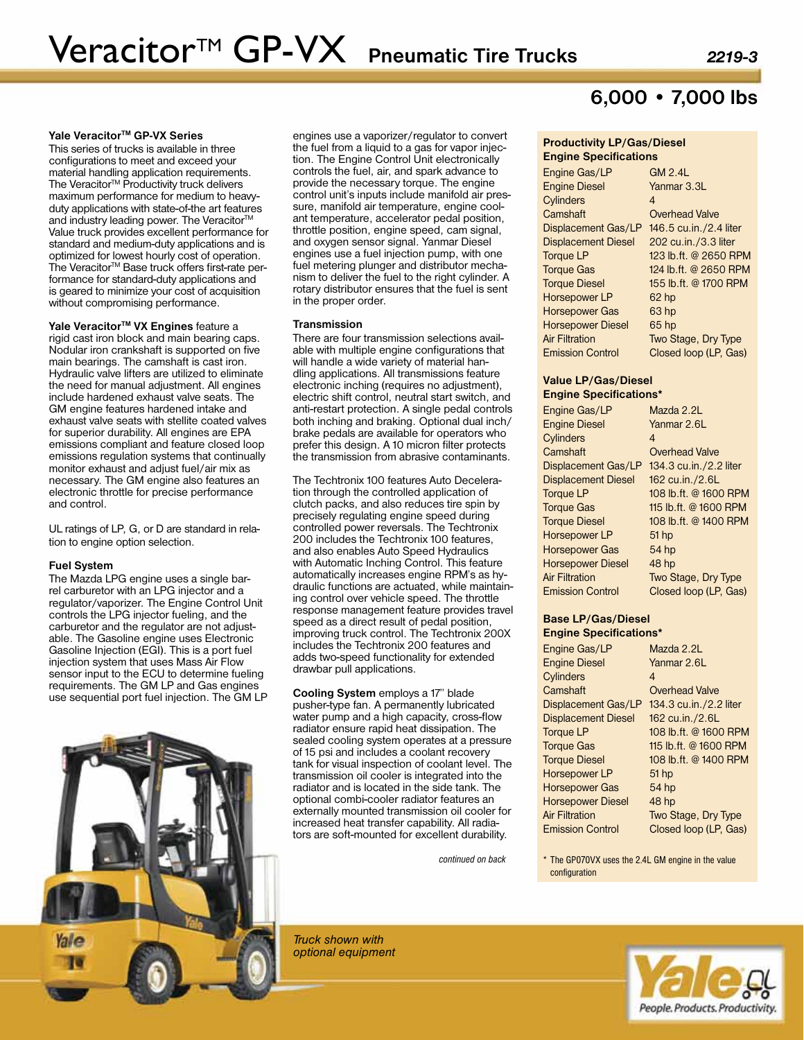## Yale Veracitor<sup>™</sup> GP-VX Series

This series of trucks is available in three configurations to meet and exceed your material handling application requirements. The Veracitor<sup>™</sup> Productivity truck delivers maximum performance for medium to heavyduty applications with state-of-the art features and industry leading power. The Veracitor™ Value truck provides excellent performance for standard and medium-duty applications and is optimized for lowest hourly cost of operation. The Veracitor™ Base truck offers first-rate performance for standard-duty applications and is geared to minimize your cost of acquisition without compromising performance.

Yale Veracitor<sup>™</sup> VX Engines feature a rigid cast iron block and main bearing caps. Nodular iron crankshaft is supported on five main bearings. The camshaft is cast iron. Hydraulic valve lifters are utilized to eliminate the need for manual adjustment. All engines include hardened exhaust valve seats. The GM engine features hardened intake and exhaust valve seats with stellite coated valves for superior durability. All engines are EPA emissions compliant and feature closed loop emissions regulation systems that continually monitor exhaust and adjust fuel/air mix as necessary. The GM engine also features an electronic throttle for precise performance and control.

UL ratings of LP, G, or D are standard in relation to engine option selection.

### **Fuel System**

The Mazda LPG engine uses a single bar-<br>rel carburetor with an LPG injector and a regulator/vaporizer. The Engine Control Unit controls the LPG injector fueling, and the carburetor and the regulator are not adjust- able. The Gasoline engine uses Electronic Gasoline Injection (EGI). This is a port fuel injection system that uses Mass Air Flow sensor input to the ECU to determine fueling requirements. The GM LP and Gas engines use sequential port fuel injection. The GM LP

engines use a vaporizer/regulator to convert the fuel from a liquid to a gas for vapor injection. The Engine Control Unit electronically controls the fuel, air, and spark advance to provide the necessary torque. The engine control unit's inputs include manifold air pressure, manifold air temperature, engine coolant temperature, accelerator pedal position, throttle position, engine speed, cam signal, and oxygen sensor signal. Yanmar Diesel engines use a fuel injection pump, with one fuel metering plunger and distributor mechanism to deliver the fuel to the right cylinder. A rotary distributor ensures that the fuel is sent in the proper order.

#### **Transmission**

There are four transmission selections available with multiple engine configurations that will handle a wide variety of material handling applications. All transmissions feature electronic inching (requires no adjustment), electric shift control, neutral start switch, and anti-restart protection. A single pedal controls both inching and braking. Optional dual inch/ brake pedals are available for operators who prefer this design. A 10 micron filter protects the transmission from abrasive contaminants.

The Techtronix 100 features Auto Deceleration through the controlled application of clutch packs, and also reduces tire spin by precisely regulating engine speed during controlled power reversals. The Techtronix 200 includes the Techtronix 100 features, and also enables Auto Speed Hydraulics with Automatic Inching Control. This feature automatically increases engine RPM's as hydraulic functions are actuated, while maintaining control over vehicle speed. The throttle response management feature provides travel speed as a direct result of pedal position, improving truck control. The Techtronix 200X includes the Techtronix 200 features and adds two-speed functionality for extended drawbar pull applications.

**Cooling System** employs a 17" blade pusher-type fan. A permanently lubricated water pump and a high capacity, cross-flow radiator ensure rapid heat dissipation. The sealed cooling system operates at a pressure of 15 psi and includes a coolant recovery tank for visual inspection of coolant level. The transmission oil cooler is integrated into the radiator and is located in the side tank. The optional combi-cooler radiator features an externally mounted transmission oil cooler for increased heat transfer capability. All radiators are soft-mounted for excellent durability.

*Truck shown with optional equipment*

# **6,000 • 7,000 lbs**

## **Productivity LP/Gas/Diesel Engine Specifications**

Engine Gas/LP GM 2.4L Engine Diesel Yanmar 3.3L Cylinders 4 Camshaft Overhead Valve Displacement Gas/LP 146.5 cu.in./2.4 liter Displacement Diesel 202 cu.in./3.3 liter Torque LP 123 lb.ft. @ 2650 RPM Torque Gas 124 lb.ft. @ 2650 RPM Torque Diesel 155 lb.ft. @ 1700 RPM Horsepower LP 62 hp Horsepower Gas 63 hp Horsepower Diesel 65 hp Air Filtration **Two Stage, Dry Type** Emission Control Closed loop (LP, Gas)

## **Value LP/Gas/Diesel Engine Specifications\***

| Engine Gas/LP              | Mazda 2.2L             |
|----------------------------|------------------------|
| <b>Engine Diesel</b>       | Yanmar 2.6L            |
| Cylinders                  | 4                      |
| Camshaft                   | <b>Overhead Valve</b>  |
| Displacement Gas/LP        | 134.3 cu.in./2.2 liter |
| <b>Displacement Diesel</b> | 162 cu.in./2.6L        |
| Toraue LP                  | 108 lb.ft. @ 1600 RPM  |
| <b>Torque Gas</b>          | 115 lb.ft. @ 1600 RPM  |
| <b>Torque Diesel</b>       | 108 lb.ft. @ 1400 RPM  |
| <b>Horsepower LP</b>       | $51$ hp                |
| <b>Horsepower Gas</b>      | 54 hp                  |
| <b>Horsepower Diesel</b>   | 48 hp                  |
| <b>Air Filtration</b>      | Two Stage, Dry Type    |
| <b>Emission Control</b>    | Closed loop (LP, Gas)  |

## **Base LP/Gas/Diesel Engine Specifications\***

| Engine Gas/LP              | Mazda 2.2L             |
|----------------------------|------------------------|
| <b>Engine Diesel</b>       | Yanmar 2.6L            |
| Cylinders                  | 4                      |
| Camshaft                   | <b>Overhead Valve</b>  |
| Displacement Gas/LP        | 134.3 cu.in./2.2 liter |
| <b>Displacement Diesel</b> | 162 cu.in./2.6L        |
| <b>Torque LP</b>           | 108 lb.ft. @ 1600 RPM  |
| Toraue Gas                 | 115 lb.ft. @ 1600 RPM  |
| <b>Torque Diesel</b>       | 108 lb.ft. @ 1400 RPM  |
| <b>Horsepower LP</b>       | 51 hp                  |
| <b>Horsepower Gas</b>      | 54 hp                  |
| <b>Horsepower Diesel</b>   | 48 hp                  |
| Air Filtration             | Two Stage, Dry Type    |
| <b>Emission Control</b>    | Closed loop (LP, Gas)  |

*continued on back* \* The GP070VX uses the 2.4L GM engine in the value configuration

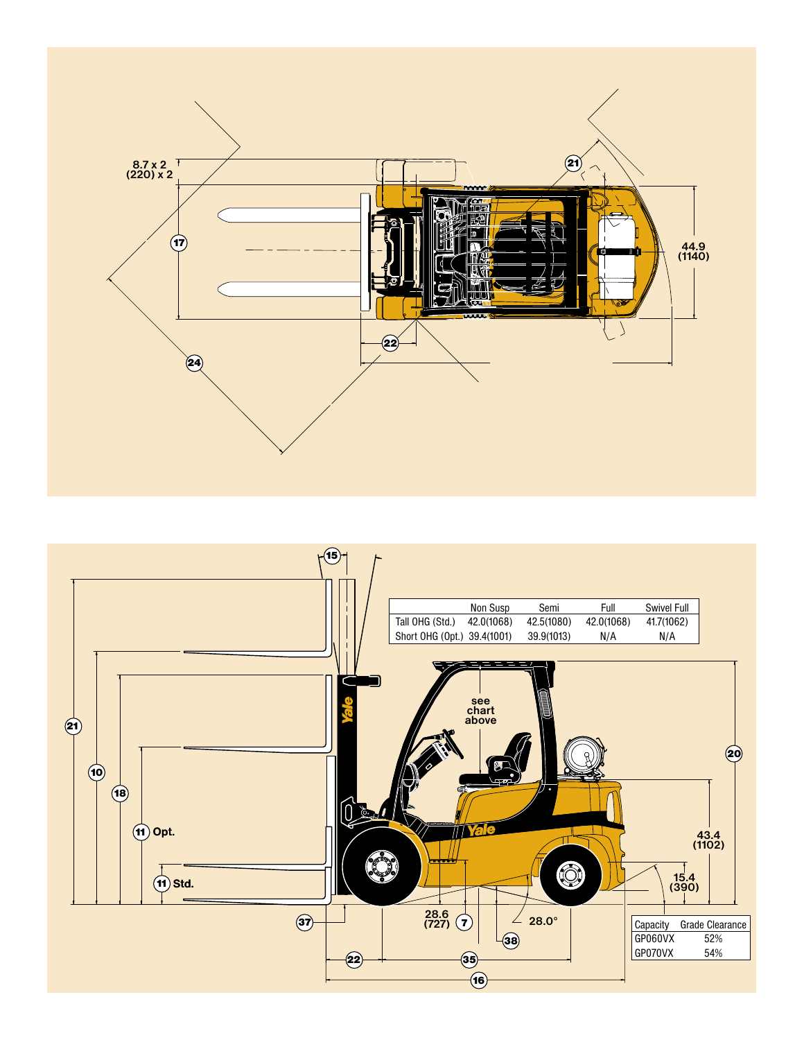

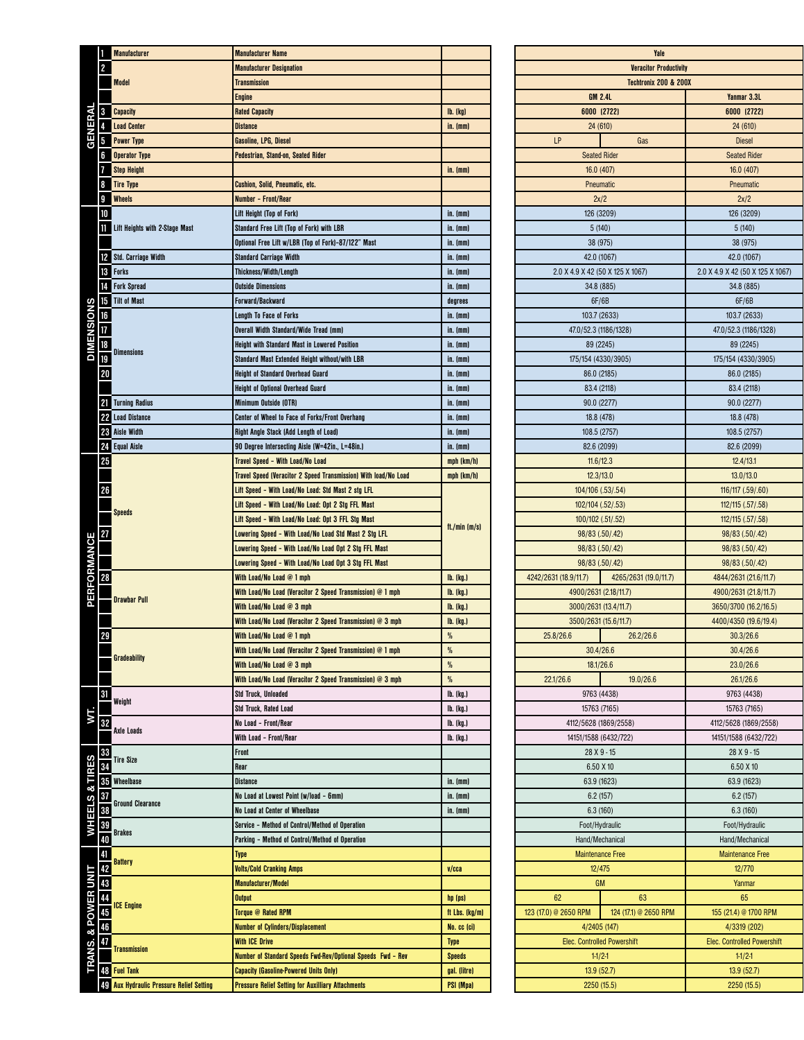|                     | 1              | <b>Manufacturer</b>                   | <b>Manufacturer Name</b>                                                                  |                      |
|---------------------|----------------|---------------------------------------|-------------------------------------------------------------------------------------------|----------------------|
|                     | $\overline{c}$ |                                       | <b>Manufacturer Designation</b>                                                           |                      |
| <b>Model</b>        |                |                                       | <b>Transmission</b>                                                                       |                      |
|                     |                |                                       | <b>Engine</b>                                                                             |                      |
| GENERAL             | 3              | <b>Capacity</b>                       | <b>Rated Capacity</b>                                                                     | <b>lb.</b> (kg)      |
|                     |                | <b>Load Center</b>                    | <b>Distance</b>                                                                           | in. (mm)             |
|                     | 5              | <b>Power Type</b>                     | Gasoline, LPG, Diesel                                                                     |                      |
|                     | 6              | <b>Operator Type</b>                  | Pedestrian, Stand-on, Seated Rider                                                        |                      |
|                     | 7              | <b>Step Height</b>                    |                                                                                           | in. $(mm)$           |
|                     | 8              | <b>Tire Type</b>                      | <b>Cushion, Solid, Pneumatic, etc.</b>                                                    |                      |
|                     | 9              | <b>Wheels</b>                         | Number - Front/Rear                                                                       |                      |
|                     | 10             |                                       | Lift Height (Top of Fork)                                                                 | in. (mm)             |
|                     |                | <b>Lift Heights with 2-Stage Mast</b> | Standard Free Lift (Top of Fork) with LBR                                                 | in. (mm)             |
|                     |                |                                       | Optional Free Lift w/LBR (Top of Fork)-87/122" Mast                                       | in. (mm)             |
|                     |                | 2 Std. Carriage Width                 | <b>Standard Carriage Width</b>                                                            | in. (mm)             |
|                     |                | <b>18</b> Forks                       | <b>Thickness/Width/Length</b>                                                             | in. (mm)             |
|                     | 14             | <b>Fork Spread</b>                    | <b>Outside Dimensions</b>                                                                 | in. (mm)             |
| <b>DIMENSIONS</b>   |                | <b>15</b> Tilt of Mast                | Forward/Backward                                                                          | degrees              |
|                     | 16             |                                       | Length To Face of Forks                                                                   | in. (mm)             |
|                     |                |                                       | <b>Overall Width Standard/Wide Tread (mm)</b>                                             | in. (mm)             |
|                     | 18             | <b>Dimensions</b>                     | <b>Height with Standard Mast in Lowered Position</b>                                      | in. (mm)             |
|                     | 19             |                                       | Standard Mast Extended Height without/with LBR                                            | in. $(mm)$           |
|                     | 20             |                                       | <b>Height of Standard Overhead Guard</b>                                                  | in. (mm)             |
|                     |                |                                       | <b>Height of Optional Overhead Guard</b>                                                  | in. (mm)             |
|                     |                | <b>21</b> Turning Radius              | <b>Minimum Outside (OTR)</b>                                                              | in. (mm)             |
|                     |                | 22 Load Distance<br>28 Aisle Width    | Center of Wheel to Face of Forks/Front Overhang                                           | in. (mm)             |
|                     |                | 24 Equal Aisle                        | Right Angle Stack (Add Length of Load)<br>90 Degree Intersecting Aisle (W=42in., L=48in.) | in. (mm)<br>in. (mm) |
|                     | 25             |                                       | <b>Travel Speed - With Load/No Load</b>                                                   | mph (km/h)           |
|                     |                |                                       | <b>Travel Speed (Veracitor 2 Speed Transmission) With load/No Load</b>                    | mph (km/h)           |
|                     | 26             |                                       | Lift Speed - With Load/No Load: Std Mast 2 stg LFL                                        | ft./min $(m/s)$      |
|                     |                |                                       | Lift Speed - With Load/No Load: Opt 2 Stg FFL Mast                                        |                      |
|                     |                | <b>Speeds</b>                         | Lift Speed - With Load/No Load: Opt 3 FFL Stg Mast                                        |                      |
|                     | 27             |                                       | Lowering Speed - With Load/No Load Std Mast 2 Stg LFL                                     |                      |
|                     |                |                                       | Lowering Speed - With Load/No Load Opt 2 Stg FFL Mast                                     |                      |
|                     |                |                                       | Lowering Speed - With Load/No Load Opt 3 Stg FFL Mast                                     |                      |
| <b>PERFORMANCE</b>  | 28             |                                       | With Load/No Load $@1$ mph                                                                | lb. (kg.)            |
|                     |                |                                       | With Load/No Load (Veracitor 2 Speed Transmission) $@1$ mph                               | lb. (kg.)            |
|                     |                | <b>Drawbar Pull</b>                   | With Load/No Load $@$ 3 mph                                                               | lb. (kg.)            |
|                     |                |                                       | With Load/No Load (Veracitor 2 Speed Transmission) @ 3 mph                                | lb. (kg.)            |
|                     | 29             |                                       | With Load/No Load @ 1 mph                                                                 | $\%$                 |
|                     |                |                                       | With Load/No Load (Veracitor 2 Speed Transmission) $@1$ mph                               | %                    |
|                     |                | <b>Gradeability</b>                   | With Load/No Load $@$ 3 mph                                                               | $\%$                 |
|                     |                |                                       | With Load/No Load (Veracitor 2 Speed Transmission) $@$ 3 mph                              | $\%$                 |
|                     | 31             |                                       | <b>Std Truck, Unloaded</b>                                                                | lb. (kg.)            |
|                     |                | Weight                                | Std Truck, Rated Load                                                                     | lb. (kg.)            |
| WТ.                 | 32             |                                       | No Load - Front/Rear                                                                      | lb. (kg.)            |
|                     |                | <b>Axle Loads</b>                     |                                                                                           |                      |
|                     |                |                                       | With Load - Front/Rear                                                                    | lb. (kg.)            |
|                     | 33             |                                       | Front                                                                                     |                      |
|                     | 34             | <b>Tire Size</b>                      | Rear                                                                                      |                      |
|                     | 35             | Wheelbase                             | Distance                                                                                  | in. (mm)             |
|                     | 37             |                                       | No Load at Lowest Point (w/load - 6mm)                                                    | in. (mm)             |
|                     | 38             | <b>Ground Clearance</b>               | No Load at Center of Wheelbase                                                            | in. (mm)             |
|                     | 39             |                                       | Service - Method of Control/Method of Operation                                           |                      |
| WHEELS & TIRES      | 40             | <b>Brakes</b>                         | Parking - Method of Control/Method of Operation                                           |                      |
|                     | 41             |                                       | <b>Type</b>                                                                               |                      |
|                     | 42             | Battery                               | <b>Volts/Cold Cranking Amps</b>                                                           | V/cca                |
|                     | 43             |                                       | <b>Manufacturer/Model</b>                                                                 |                      |
|                     | 44             |                                       | <b>Output</b>                                                                             | hp (ps)              |
|                     | 45             | <b>ICE Engine</b>                     | Torque @ Rated RPM                                                                        | ft Lbs. (kg/m)       |
|                     | 46             |                                       | <b>Number of Cylinders/Displacement</b>                                                   | No. cc (ci)          |
|                     | 47             | <b>Transmission</b>                   | <b>With ICE Drive</b>                                                                     | <b>Type</b>          |
|                     |                |                                       | Number of Standard Speeds Fwd-Rev/Optional Speeds Fwd - Rev                               | <b>Speeds</b>        |
| TRANS. & POWER UNIT |                | 48 Fuel Tank                          | <b>Capacity (Gasoline-Powered Units Only)</b>                                             | gal. (litre)         |

|                                  | Yale                               |                                  |
|----------------------------------|------------------------------------|----------------------------------|
|                                  | <b>Veracitor Productivity</b>      |                                  |
|                                  | <b>Techtronix 200 &amp; 200X</b>   |                                  |
| <b>GM 2.4L</b>                   |                                    | Yanmar 3.3L                      |
| 6000 (2722)                      |                                    | 6000 (2722)                      |
| 24(610)                          |                                    | 24(610)                          |
| LP                               | Gas                                | <b>Diesel</b>                    |
| <b>Seated Rider</b>              |                                    | <b>Seated Rider</b>              |
| 16.0(407)                        |                                    | 16.0(407)                        |
| Pneumatic                        |                                    | Pneumatic                        |
| 2x/2                             |                                    | 2x/2                             |
| 126 (3209)                       |                                    | 126 (3209)                       |
|                                  | 5(140)                             | 5(140)                           |
| 38 (975)                         |                                    | 38 (975)                         |
| 42.0 (1067)                      |                                    | 42.0 (1067)                      |
| 2.0 X 4.9 X 42 (50 X 125 X 1067) |                                    | 2.0 X 4.9 X 42 (50 X 125 X 1067) |
| 34.8 (885)                       |                                    | 34.8 (885)                       |
|                                  | 6F/6B                              | 6F/6B                            |
| 103.7 (2633)                     |                                    | 103.7 (2633)                     |
| 47.0/52.3 (1186/1328)            |                                    | 47.0/52.3 (1186/1328)            |
| 89 (2245)                        |                                    | 89 (2245)                        |
| 175/154 (4330/3905)              |                                    | 175/154 (4330/3905)              |
| 86.0 (2185)                      |                                    | 86.0 (2185)                      |
|                                  | 83.4 (2118)                        | 83.4 (2118)                      |
| 90.0 (2277)                      |                                    | 90.0 (2277)                      |
| 18.8 (478)                       |                                    | 18.8 (478)                       |
| 108.5 (2757)                     |                                    | 108.5 (2757)                     |
| 82.6 (2099)                      |                                    | 82.6 (2099)                      |
| 11.6/12.3                        |                                    | 12.4/13.1                        |
| 12.3/13.0                        |                                    | 13.0/13.0                        |
| 104/106 (.53/.54)                |                                    | 116/117 (.59/.60)                |
| 102/104 (.52/.53)                |                                    | 112/115 (.57/.58)                |
| 100/102 (.51/.52)                |                                    | 112/115 (.57/.58)                |
| 98/83 (.50/.42)                  |                                    | 98/83 (.50/.42)                  |
| 98/83 (.50/.42)                  |                                    | 98/83 (.50/.42)                  |
| 98/83 (.50/.42)                  |                                    |                                  |
|                                  |                                    | 98/83 (.50/.42)                  |
| 4242/2631 (18.9/11.7)            | 4265/2631 (19.0/11.7)              | 4844/2631 (21.6/11.7)            |
| 4900/2631 (2.18/11.7)            |                                    | 4900/2631 (21.8/11.7)            |
| 3000/2631 (13.4/11.7)            |                                    | 3650/3700 (16.2/16.5)            |
| 3500/2631 (15.6/11.7)            |                                    | 4400/4350 (19.6/19.4)            |
| 25.8/26.6                        | 26.2/26.6                          | 30.3/26.6                        |
| 30.4/26.6                        |                                    | 30.4/26.6                        |
| 18.1/26.6                        |                                    | 23.0/26.6                        |
| 22.1/26.6                        | 19.0/26.6                          | 26.1/26.6                        |
| 9763 (4438)                      |                                    | 9763 (4438)                      |
| 15763 (7165)                     |                                    | 15763 (7165)                     |
| 4112/5628 (1869/2558)            |                                    | 4112/5628 (1869/2558)            |
| 14151/1588 (6432/722)            |                                    | 14151/1588 (6432/722)            |
|                                  | 28 X 9 - 15                        | 28 X 9 - 15                      |
|                                  | 6.50 X 10                          | 6.50 X 10                        |
| 63.9 (1623)                      |                                    | 63.9 (1623)                      |
| 6.2(157)                         |                                    | 6.2(157)                         |
| 6.3(160)                         |                                    | 6.3(160)                         |
| Foot/Hydraulic                   |                                    | Foot/Hydraulic                   |
| Hand/Mechanical                  |                                    | Hand/Mechanical                  |
| <b>Maintenance Free</b>          |                                    | <b>Maintenance Free</b>          |
|                                  | 12/475                             | 12/770                           |
|                                  | GM                                 | Yanmar                           |
| 62                               | 63                                 | 65                               |
| 123 (17.0) @ 2650 RPM            | 124 (17.1) @ 2650 RPM              | 155 (21.4) @ 1700 RPM            |
| 4/2405 (147)                     |                                    | 4/3319 (202)                     |
|                                  | <b>Elec. Controlled Powershift</b> | Elec. Controlled Powershift      |
| $1-1/2-1$                        |                                    | $1-1/2-1$                        |
|                                  | 13.9(52.7)                         | 13.9(52.7)                       |
| 2250 (15.5)                      |                                    | 2250 (15.5)                      |
|                                  |                                    |                                  |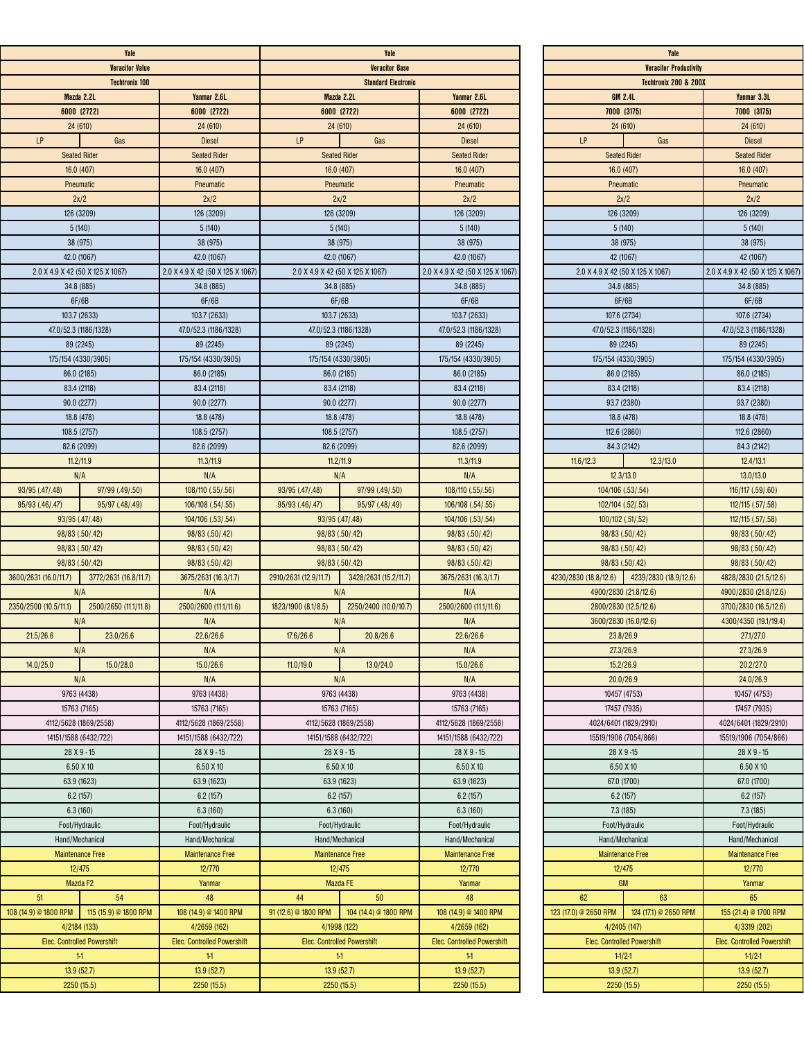|                       | Yale                               |                                    | Yale                                           |                                    |                                  |  |
|-----------------------|------------------------------------|------------------------------------|------------------------------------------------|------------------------------------|----------------------------------|--|
|                       | <b>Veracitor Value</b>             |                                    |                                                | <b>Veracitor Base</b>              |                                  |  |
| <b>Techtronix 100</b> |                                    |                                    | <b>Standard Electronic</b>                     |                                    |                                  |  |
|                       | Mazda 2.2L                         | Yanmar 2.6L                        |                                                | Mazda 2.2L                         | Yanmar 2.6L                      |  |
|                       | 6000 (2722)                        | 6000 (2722)                        |                                                | 6000 (2722)                        | 6000 (2722)                      |  |
|                       | 24 (610)                           | 24(610)                            | 24(610)                                        |                                    | 24(610)                          |  |
| LP                    | Gas                                | <b>Diesel</b>                      | LP                                             | Gas                                | <b>Diesel</b>                    |  |
|                       | <b>Seated Rider</b>                | <b>Seated Rider</b>                |                                                | <b>Seated Rider</b>                | <b>Seated Rider</b>              |  |
|                       | 16.0 (407)                         | 16.0(407)                          | 16.0 (407)                                     |                                    | 16.0 (407)                       |  |
|                       | Pneumatic                          | Pneumatic                          | Pneumatic                                      |                                    | Pneumatic                        |  |
|                       | 2x/2                               | 2x/2                               |                                                | 2x/2                               | 2x/2                             |  |
|                       | 126 (3209)                         | 126 (3209)                         |                                                | 126 (3209)                         | 126 (3209)                       |  |
|                       | 5(140)                             | 5(140)                             |                                                | 5(140)                             | 5(140)                           |  |
|                       | 38 (975)<br>42.0 (1067)            | 38 (975)<br>42.0 (1067)            | 38 (975)                                       | 42.0 (1067)                        | 38 (975)<br>42.0 (1067)          |  |
|                       | 2.0 X 4.9 X 42 (50 X 125 X 1067)   | 2.0 X 4.9 X 42 (50 X 125 X 1067)   | 2.0 X 4.9 X 42 (50 X 125 X 1067)               |                                    | 2.0 X 4.9 X 42 (50 X 125 X 1067) |  |
|                       | 34.8 (885)                         | 34.8 (885)                         | 34.8 (885)                                     |                                    | 34.8 (885)                       |  |
|                       | 6F/6B                              | 6F/6B                              | 6F/6B                                          |                                    | 6F/6B                            |  |
|                       | 103.7 (2633)                       | 103.7 (2633)                       | 103.7 (2633)                                   |                                    | 103.7 (2633)                     |  |
|                       | 47.0/52.3 (1186/1328)              | 47.0/52.3 (1186/1328)              |                                                | 47.0/52.3 (1186/1328)              | 47.0/52.3 (1186/1328)            |  |
|                       | 89 (2245)                          | 89 (2245)                          | 89 (2245)                                      |                                    | 89 (2245)                        |  |
|                       | 175/154 (4330/3905)                | 175/154 (4330/3905)                | 175/154 (4330/3905)                            |                                    | 175/154 (4330/3905)              |  |
|                       | 86.0 (2185)                        | 86.0 (2185)                        | 86.0 (2185)                                    |                                    | 86.0 (2185)                      |  |
|                       | 83.4 (2118)                        | 83.4 (2118)                        | 83.4 (2118)                                    |                                    | 83.4 (2118)                      |  |
| 90.0 (2277)           |                                    | 90.0 (2277)                        | 90.0 (2277)                                    |                                    | 90.0 (2277)                      |  |
|                       | 18.8 (478)                         | 18.8 (478)                         | 18.8 (478)                                     |                                    | 18.8 (478)                       |  |
|                       | 108.5 (2757)<br>82.6 (2099)        | 108.5 (2757)<br>82.6 (2099)        | 82.6 (2099)                                    | 108.5 (2757)                       | 108.5 (2757)<br>82.6 (2099)      |  |
|                       | 11.2/11.9                          | 11.3/11.9                          |                                                |                                    | 11.3/11.9                        |  |
|                       | N/A                                | N/A                                | 11.2/11.9<br>N/A                               |                                    | N/A                              |  |
| 93/95 (.47/.48)       | 97/99 (.49/.50)                    | 108/110 (.55/.56)                  | 93/95 (.47/.48)                                | 97/99 (.49/.50)                    | 108/110 (.55/.56)                |  |
| 95/93 (.46/.47)       | 95/97 (.48/.49)                    | 106/108 (.54/.55)                  | 95/93 (.46/.47)                                | 95/97 (.48/.49)                    | 106/108 (.54/.55)                |  |
|                       | 93/95 (.47/.48)                    | 104/106 (.53/.54)                  | 93/95 (.47/.48)                                |                                    | 104/106 (.53/.54)                |  |
|                       | 98/83 (.50/.42)                    | 98/83 (.50/.42)                    | 98/83 (.50/.42)                                |                                    | 98/83 (.50/.42)                  |  |
| 98/83 (.50/.42)       |                                    | 98/83 (.50/.42)                    | 98/83 (.50/.42)                                |                                    | 98/83 (.50/.42)                  |  |
|                       | 98/83 (.50/.42)                    | 98/83 (.50/.42)                    | 98/83 (.50/.42)                                |                                    | 98/83 (.50/.42)                  |  |
| 3600/2631 (16.0/11.7) | 3772/2631 (16.8/11.7)              | 3675/2631 (16.3/1.7)               | 2910/2631 (12.9/11.7)<br>3428/2631 (15.2/11.7) |                                    | 3675/2631 (16.3/1.7)             |  |
|                       | N/A                                | N/A                                |                                                | N/A                                | N/A                              |  |
| 2350/2500 (10.5/11.1) | 2500/2650 (11.1/11.8)              | 2500/2600 (11.1/11.6)              | 1823/1900 (8.1/8.5)                            | 2250/2400 (10.0/10.7)              | 2500/2600 (11.1/11.6)            |  |
|                       | N/A                                | N/A                                | N/A                                            |                                    | N/A                              |  |
| 21.5/26.6             | 23.0/26.6<br>N/A                   | 22.6/26.6<br>N/A                   | 17.6/26.6<br>N/A                               | 20.8/26.6                          | 22.6/26.6<br>N/A                 |  |
| 14.0/25.0             | 15.0/28.0                          | 15.0/26.6                          | 11.0/19.0                                      | 13.0/24.0                          | 15.0/26.6                        |  |
|                       | N/A                                | N/A                                | N/A                                            |                                    | N/A                              |  |
|                       | 9763 (4438)                        | 9763 (4438)                        |                                                | 9763 (4438)                        | 9763 (4438)                      |  |
|                       | 15763 (7165)                       | 15763 (7165)                       |                                                | 15763 (7165)                       | 15763 (7165)                     |  |
|                       | 4112/5628 (1869/2558)              | 4112/5628 (1869/2558)              |                                                | 4112/5628 (1869/2558)              | 4112/5628 (1869/2558)            |  |
|                       | 14151/1588 (6432/722)              | 14151/1588 (6432/722)              | 14151/1588 (6432/722)                          |                                    | 14151/1588 (6432/722)            |  |
|                       | 28 X 9 - 15                        | 28 X 9 - 15                        |                                                | 28 X 9 - 15                        | 28 X 9 - 15                      |  |
|                       | 6.50 X 10                          | 6.50 X 10                          |                                                | 6.50 X 10                          | 6.50 X 10                        |  |
|                       | 63.9 (1623)                        | 63.9 (1623)                        | 63.9 (1623)<br>6.2(157)                        |                                    | 63.9 (1623)                      |  |
|                       | 6.2(157)                           | 6.2(157)                           |                                                |                                    | 6.2(157)                         |  |
|                       | 6.3(160)<br>Foot/Hydraulic         | 6.3(160)<br>Foot/Hydraulic         |                                                | 6.3(160)<br>Foot/Hydraulic         | 6.3(160)<br>Foot/Hydraulic       |  |
|                       | Hand/Mechanical                    | Hand/Mechanical                    |                                                | Hand/Mechanical                    | Hand/Mechanical                  |  |
|                       | <b>Maintenance Free</b>            | <b>Maintenance Free</b>            |                                                |                                    | <b>Maintenance Free</b>          |  |
|                       | 12/475                             | 12/770                             | <b>Maintenance Free</b><br>12/475              |                                    | 12/770                           |  |
|                       | Mazda F <sub>2</sub>               | Yanmar                             | Mazda FE                                       |                                    | Yanmar                           |  |
| 51                    | 54                                 | 48                                 | 50<br>44                                       |                                    | 48                               |  |
| 108 (14.9) @ 1800 RPM | 115 (15.9) @ 1800 RPM              | 108 (14.9) @ 1400 RPM              | 91 (12.6) @ 1800 RPM                           | 104 (14.4) @ 1800 RPM              | 108 (14.9) @ 1400 RPM            |  |
|                       | 4/2184 (133)                       | 4/2659 (162)                       |                                                | 4/1998 (122)                       | 4/2659 (162)                     |  |
|                       | <b>Elec. Controlled Powershift</b> | <b>Elec. Controlled Powershift</b> |                                                | <b>Elec. Controlled Powershift</b> | Elec. Controlled Powershift      |  |
|                       | 11                                 | 11 <sub>1</sub>                    |                                                | 11                                 | 11 <sub>1</sub>                  |  |
|                       | 13.9 (52.7)                        | 13.9 (52.7)                        | 13.9 (52.7)                                    |                                    | 13.9(52.7)                       |  |
|                       | 2250(15.5)                         | 2250 (15.5)                        |                                                | 2250 (15.5)                        | 2250(15.5)                       |  |

|                                             | Yale                          |                                    |
|---------------------------------------------|-------------------------------|------------------------------------|
|                                             | <b>Veracitor Productivity</b> |                                    |
| <b>Techtronix 200 &amp; 200X</b>            |                               |                                    |
| <b>GM 2.4L</b>                              |                               | Yanmar 3.3L                        |
| 7000 (3175)                                 |                               | 7000 (3175)                        |
| 24(610)                                     |                               | 24(610)                            |
| LP                                          | Gas                           | <b>Diesel</b>                      |
| <b>Seated Rider</b>                         |                               | <b>Seated Rider</b>                |
| 16.0(407)                                   |                               | 16.0(407)                          |
| Pneumatic                                   |                               | Pneumatic                          |
| 2x/2                                        |                               | 2x/2                               |
| 126 (3209)                                  |                               | 126 (3209)                         |
| 5(140)                                      |                               | 5(140)                             |
| 38 (975)                                    |                               | 38 (975)                           |
| 42 (1067)                                   |                               | 42 (1067)                          |
| 2.0 X 4.9 X 42 (50 X 125 X 1067)            |                               | 2.0 X 4.9 X 42 (50 X 125 X 1067)   |
| 34.8 (885)                                  |                               | 34.8 (885)                         |
| 6F/6B                                       |                               | 6F/6B                              |
| 107.6 (2734)                                |                               | 107.6 (2734)                       |
| 47.0/52.3 (1186/1328)                       |                               |                                    |
|                                             |                               | 47.0/52.3 (1186/1328)              |
| 89 (2245)                                   |                               | 89 (2245)                          |
| 175/154 (4330/3905)                         |                               | 175/154 (4330/3905)                |
| 86.0 (2185)                                 |                               | 86.0 (2185)                        |
| 83.4 (2118)                                 |                               | 83.4 (2118)                        |
| 93.7 (2380)                                 |                               | 93.7 (2380)                        |
| 18.8 (478)                                  |                               | 18.8 (478)                         |
| 112.6 (2860)                                |                               | 112.6 (2860)                       |
| 84.3 (2142)                                 |                               | 84.3 (2142)                        |
| 11.6/12.3                                   | 12.3/13.0                     | 12.4/13.1                          |
| 12.3/13.0                                   |                               | 13.0/13.0                          |
| 104/106 (.53/.54)                           |                               | 116/117 (.59/.60)                  |
| 102/104 (.52/.53)                           |                               | 112/115 (.57/.58)                  |
| 100/102 (.51/.52)                           |                               | 112/115 (.57/.58)                  |
| 98/83 (.50/.42)                             |                               | 98/83 (.50/.42)                    |
| 98/83 (.50/.42)                             |                               | 98/83 (.50/.42)                    |
| 98/83 (.50/.42)                             |                               | 98/83 (.50/.42)                    |
| 4230/2830 (18.8/12.6) 4239/2830 (18.9/12.6) |                               | 4828/2830 (21.5/12.6)              |
| 4900/2830 (21.8/12.6)                       |                               | 4900/2830 (21.8/12.6)              |
| 2800/2830 (12.5/12.6)                       |                               | 3700/2830 (16.5/12.6)              |
| 3600/2830 (16.0/12.6)                       |                               | 4300/4350 (19.1/19.4)              |
| 23.8/26.9                                   |                               | 27.1/27.0                          |
| 27.3/26.9                                   |                               | 27.3/26.9                          |
| 15.2/26.9                                   |                               | 20.2/27.0                          |
| 20.0/26.9                                   |                               | 24.0/26.9                          |
| 10457 (4753)                                |                               | 10457 (4753)                       |
|                                             |                               |                                    |
| 17457 (7935)                                |                               | 17457 (7935)                       |
| 4024/6401 (1829/2910)                       |                               | 4024/6401 (1829/2910)              |
| 15519/1906 (7054/866)                       |                               | 15519/1906 (7054/866)              |
| 28 X 9 - 15                                 |                               | 28 X 9 - 15                        |
| 6.50 X 10                                   |                               | 6.50 X 10                          |
| 67.0 (1700)                                 |                               | 67.0 (1700)                        |
| 6.2(157)                                    |                               | 6.2(157)                           |
| 7.3(185)                                    |                               | 7.3(185)                           |
| Foot/Hydraulic                              |                               | Foot/Hydraulic                     |
| Hand/Mechanical                             |                               | Hand/Mechanical                    |
| <b>Maintenance Free</b>                     |                               | <b>Maintenance Free</b>            |
| 12/475                                      |                               | 12/770                             |
| GM                                          |                               | Yanmar                             |
| $62\,$                                      | 63                            | 65                                 |
| 123 (17.0) @ 2650 RPM                       | 124 (17.1) @ 2650 RPM         | 155 (21.4) @ 1700 RPM              |
| 4/2405 (147)                                |                               | 4/3319 (202)                       |
| Elec. Controlled Powershift                 |                               | <b>Elec. Controlled Powershift</b> |
| $1-1/2-1$                                   |                               | $1-1/2-1$                          |
| 13.9(52.7)                                  |                               | 13.9(52.7)                         |
|                                             |                               |                                    |
| 2250 (15.5)                                 |                               | 2250 (15.5)                        |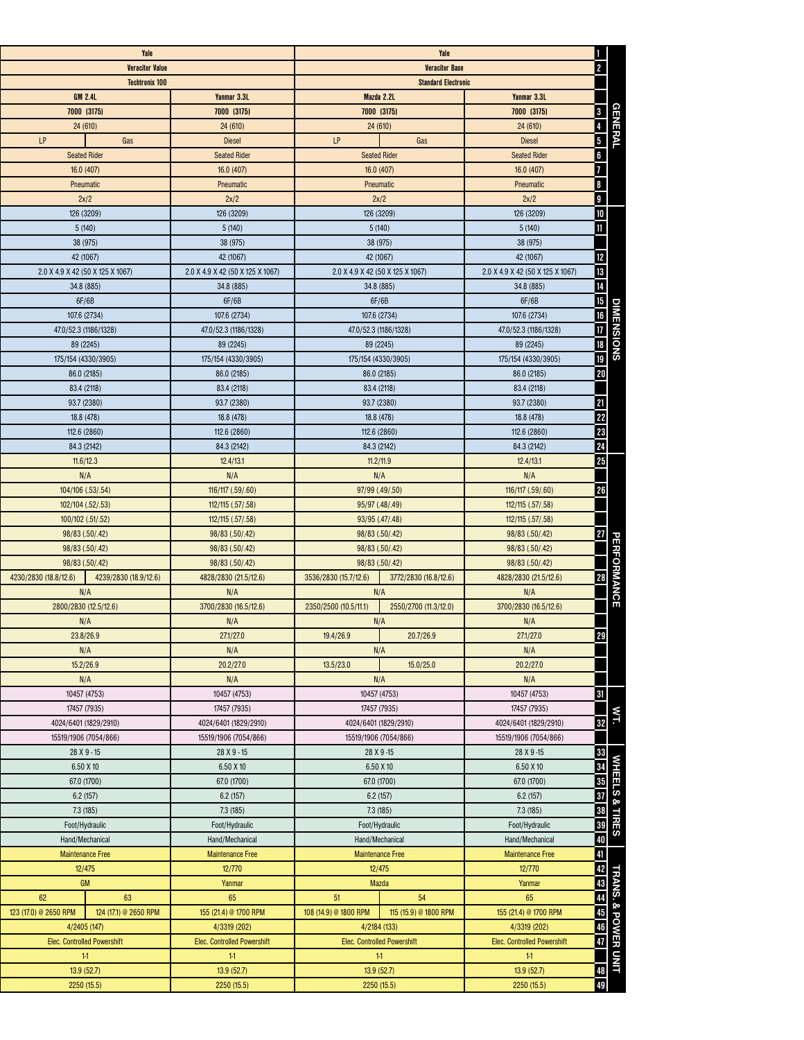|                                                               |                                                   | Yale                                  |                                                                        |                                    | Yale                               |                                  |
|---------------------------------------------------------------|---------------------------------------------------|---------------------------------------|------------------------------------------------------------------------|------------------------------------|------------------------------------|----------------------------------|
|                                                               | Ш<br>$ 2\rangle$                                  |                                       |                                                                        |                                    | <b>Veracitor Value</b>             |                                  |
|                                                               | <b>Veracitor Base</b>                             |                                       |                                                                        |                                    |                                    |                                  |
|                                                               | <b>Standard Electronic</b>                        |                                       |                                                                        | <b>Techtronix 100</b>              |                                    |                                  |
|                                                               | Yanmar 3.3L                                       | Mazda 2.2L                            |                                                                        | Yanmar 3.3L                        |                                    | <b>GM 2.4L</b>                   |
| <b>GENERAL</b>                                                | $\vert 3 \vert$<br>7000 (3175)                    |                                       | 7000 (3175)                                                            | 7000 (3175)                        |                                    | 7000 (3175)                      |
|                                                               | $\overline{4}$<br>24 (610)                        |                                       | 24(610)                                                                | 24(610)                            |                                    | 24 (610)                         |
|                                                               | $\overline{\mathbf{5}}$<br><b>Diesel</b>          | Gas                                   | LP                                                                     | <b>Diesel</b>                      | Gas                                | <b>LP</b>                        |
|                                                               | 6 <sup>1</sup><br><b>Seated Rider</b>             |                                       | <b>Seated Rider</b>                                                    | <b>Seated Rider</b>                |                                    | <b>Seated Rider</b>              |
|                                                               | $\overline{7}$<br>16.0(407)                       | 16.0 (407)                            |                                                                        | 16.0(407)                          | 16.0(407)                          |                                  |
|                                                               | $\overline{\mathbf{8}}$<br>Pneumatic              |                                       | Pneumatic                                                              | Pneumatic                          |                                    | Pneumatic                        |
|                                                               | $\vert$ 9<br>2x/2                                 | 2x/2                                  |                                                                        | 2x/2                               | 2x/2                               |                                  |
|                                                               | 10<br>126 (3209)                                  | 126 (3209)                            |                                                                        | 126 (3209)                         |                                    | 126 (3209)                       |
|                                                               | $\vert$ 11<br>5(140)                              |                                       | 5(140)                                                                 | 5(140)                             | 5(140)                             |                                  |
|                                                               | 38 (975)                                          |                                       | 38 (975)                                                               | 38 (975)                           |                                    | 38 (975)                         |
|                                                               | 12<br>42 (1067)                                   | 42 (1067)                             |                                                                        | 42 (1067)                          | 42 (1067)                          |                                  |
|                                                               | <sup>13</sup><br>2.0 X 4.9 X 42 (50 X 125 X 1067) |                                       | 2.0 X 4.9 X 42 (50 X 125 X 1067)                                       | 2.0 X 4.9 X 42 (50 X 125 X 1067)   |                                    | 2.0 X 4.9 X 42 (50 X 125 X 1067) |
|                                                               | 14<br>34.8 (885)                                  |                                       | 34.8 (885)                                                             | 34.8 (885)                         | 34.8 (885)                         |                                  |
|                                                               | 6F/6B                                             |                                       | 6F/6B                                                                  | 6F/6B                              | 6F/6B                              |                                  |
| <b>DIMENSIONS</b>                                             | 15<br>  16<br>  17<br>107.6 (2734)                |                                       | 107.6 (2734)                                                           | 107.6 (2734)                       |                                    | 107.6 (2734)                     |
|                                                               | 47.0/52.3 (1186/1328)                             |                                       | 47.0/52.3 (1186/1328)                                                  | 47.0/52.3 (1186/1328)              | 47.0/52.3 (1186/1328)              |                                  |
|                                                               | 89 (2245)                                         |                                       | 89 (2245)                                                              | 89 (2245)                          |                                    | 89 (2245)                        |
|                                                               | 175/154 (4330/3905)                               |                                       | 175/154 (4330/3905)                                                    | 175/154 (4330/3905)                |                                    | 175/154 (4330/3905)              |
|                                                               | 18<br>  19<br>  20<br>86.0 (2185)                 |                                       | 86.0 (2185)                                                            | 86.0 (2185)                        | 86.0 (2185)                        |                                  |
|                                                               | 83.4 (2118)                                       |                                       | 83.4 (2118)                                                            | 83.4 (2118)                        |                                    | 83.4 (2118)                      |
|                                                               | 21<br>93.7 (2380)                                 |                                       | 93.7 (2380)                                                            | 93.7 (2380)                        |                                    | 93.7 (2380)                      |
|                                                               | 18.8 (478)                                        |                                       | 18.8 (478)                                                             | 18.8 (478)                         |                                    | 18.8 (478)                       |
|                                                               | 112.6 (2860)                                      |                                       | 112.6 (2860)                                                           | 112.6 (2860)                       |                                    | 112.6 (2860)                     |
|                                                               | 22<br>23<br>24<br>84.3 (2142)                     |                                       | 84.3 (2142)                                                            | 84.3 (2142)                        | 84.3 (2142)                        |                                  |
|                                                               | 25<br>12.4/13.1                                   |                                       | 11.2/11.9                                                              | 12.4/13.1                          |                                    | 11.6/12.3                        |
|                                                               | N/A                                               | N/A                                   |                                                                        | N/A                                | N/A                                |                                  |
|                                                               | 26<br>116/117 (.59/.60)                           |                                       | 97/99 (.49/.50)                                                        | 116/117 (.59/.60)                  | 104/106 (.53/.54)                  |                                  |
|                                                               | 112/115 (.57/.58)                                 |                                       | 95/97 (.48/.49)                                                        | 112/115 (.57/.58)                  | 102/104 (.52/.53)                  |                                  |
|                                                               | 112/115 (.57/.58)                                 |                                       | 93/95 (.47/.48)                                                        | 112/115 (.57/.58)                  |                                    | 100/102 (.51/.52)                |
|                                                               | 27<br>98/83 (.50/.42)                             | 98/83 (.50/.42)                       |                                                                        | 98/83 (.50/.42)                    | 98/83 (.50/.42)                    |                                  |
|                                                               | 98/83 (.50/.42)                                   | 98/83 (.50/.42)                       |                                                                        | 98/83 (.50/.42)                    | 98/83 (.50/.42)                    |                                  |
|                                                               | 98/83 (.50/.42)                                   | 98/83 (.50/.42)                       |                                                                        | 98/83 (.50/.42)                    | 98/83 (.50/.42)                    |                                  |
| $\boxed{28}$                                                  | 4828/2830 (21.5/12.6)                             | 3772/2830 (16.8/12.6)                 | 3536/2830 (15.7/12.6)                                                  | 4828/2830 (21.5/12.6)              | 4239/2830 (18.9/12.6)              | 4230/2830 (18.8/12.6)            |
| PERFORMANCE                                                   | N/A                                               | N/A                                   |                                                                        | N/A                                |                                    | N/A                              |
|                                                               | 3700/2830 (16.5/12.6)                             | 2550/2700 (11.3/12.0)                 | 2350/2500 (10.5/11.1)                                                  | 3700/2830 (16.5/12.6)              |                                    | 2800/2830 (12.5/12.6)            |
|                                                               | N/A                                               |                                       | N/A                                                                    | N/A                                |                                    | N/A                              |
| <b>29</b>                                                     | 27.1/27.0                                         | 20.7/26.9                             | 19.4/26.9                                                              | 27.1/27.0                          | 23.8/26.9                          |                                  |
|                                                               | N/A                                               | N/A                                   |                                                                        | N/A                                |                                    | N/A                              |
|                                                               | 20.2/27.0                                         | 15.0/25.0                             | 13.5/23.0                                                              | 20.2/27.0                          | 15.2/26.9                          |                                  |
|                                                               | N/A                                               | N/A                                   |                                                                        | N/A                                | N/A                                |                                  |
|                                                               | 31<br>10457 (4753)                                |                                       | 10457 (4753)                                                           | 10457 (4753)                       |                                    | 10457 (4753)                     |
|                                                               | 17457 (7935)                                      |                                       |                                                                        | 17457 (7935)                       |                                    | 17457 (7935)                     |
| WT.<br> 32                                                    | 4024/6401 (1829/2910)                             | 17457 (7935)<br>4024/6401 (1829/2910) |                                                                        | 4024/6401 (1829/2910)              | 4024/6401 (1829/2910)              |                                  |
|                                                               | 15519/1906 (7054/866)                             |                                       |                                                                        | 15519/1906 (7054/866)              | 15519/1906 (7054/866)              |                                  |
|                                                               | 28 X 9 - 15                                       | 15519/1906 (7054/866)<br>28 X 9 - 15  |                                                                        | 28 X 9 - 15                        |                                    |                                  |
| WHEELS & TIRES                                                | 6.50 X 10                                         | 6.50 X 10                             |                                                                        | 6.50 X 10                          | 28 X 9 - 15<br>6.50 X 10           |                                  |
|                                                               | 67.0 (1700)                                       |                                       |                                                                        | 67.0 (1700)                        |                                    |                                  |
|                                                               | 6.2(157)                                          | 67.0 (1700)                           |                                                                        | 6.2(157)                           | 67.0 (1700)<br>6.2(157)            |                                  |
|                                                               | 7.3(185)                                          | 6.2(157)                              |                                                                        | 7.3(185)                           |                                    | 7.3(185)                         |
|                                                               | Foot/Hydraulic                                    | 7.3(185)                              |                                                                        | Foot/Hydraulic                     | Foot/Hydraulic                     |                                  |
|                                                               | Hand/Mechanical                                   | Foot/Hydraulic<br>Hand/Mechanical     |                                                                        | Hand/Mechanical                    |                                    |                                  |
|                                                               | <b>Maintenance Free</b>                           |                                       |                                                                        |                                    | Hand/Mechanical                    |                                  |
|                                                               | 12/770                                            |                                       | <b>Maintenance Free</b><br><b>Maintenance Free</b><br>12/770<br>12/475 |                                    | <b>Maintenance Free</b><br>12/475  |                                  |
|                                                               | Yanmar                                            | Mazda                                 |                                                                        | Yanmar                             | <b>GM</b>                          |                                  |
|                                                               | 65                                                | 54                                    | 51                                                                     | 65                                 | 63                                 | 62                               |
|                                                               | 155 (21.4) @ 1700 RPM                             | 115 (15.9) @ 1800 RPM                 | 108 (14.9) @ 1800 RPM                                                  | 155 (21.4) @ 1700 RPM              | 124 (17.1) @ 2650 RPM              | 123 (17.0) @ 2650 RPM            |
| 41<br>42<br>43<br>44<br>45<br>46<br>47<br>TRANS. & POWER UNIT | 4/3319 (202)                                      | 4/2184 (133)                          |                                                                        | 4/3319 (202)                       | 4/2405 (147)                       |                                  |
|                                                               | <b>Elec. Controlled Powershift</b>                | <b>Elec. Controlled Powershift</b>    |                                                                        | <b>Elec. Controlled Powershift</b> | <b>Elec. Controlled Powershift</b> |                                  |
|                                                               | 11                                                | 11                                    |                                                                        | 11 <sub>1</sub>                    | 11                                 |                                  |
| $\boxed{48}$                                                  | 13.9 (52.7)                                       | 13.9(52.7)                            |                                                                        | 13.9 (52.7)                        |                                    | 13.9(52.7)                       |
| $\overline{49}$                                               | 2250(15.5)                                        |                                       |                                                                        | 2250 (15.5)                        | 2250 (15.5)                        |                                  |
|                                                               |                                                   | 2250 (15.5)                           |                                                                        |                                    |                                    |                                  |